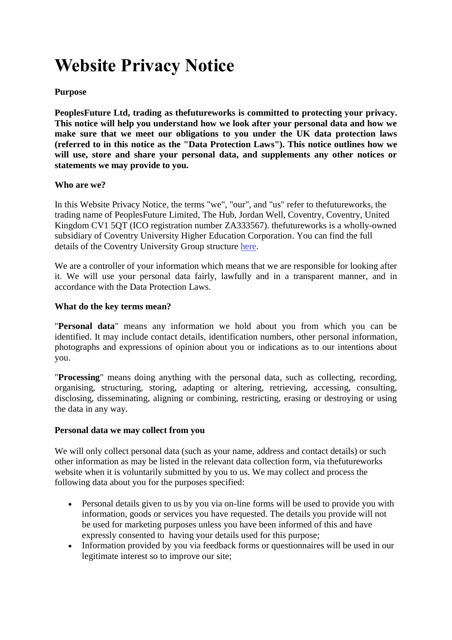# **Website Privacy Notice**

#### **Purpose**

**PeoplesFuture Ltd, trading as thefutureworks is committed to protecting your privacy. This notice will help you understand how we look after your personal data and how we make sure that we meet our obligations to you under the UK data protection laws (referred to in this notice as the "Data Protection Laws"). This notice outlines how we will use, store and share your personal data, and supplements any other notices or statements we may provide to you.**

#### **Who are we?**

In this Website Privacy Notice, the terms "we", "our", and "us" refer to thefutureworks, the trading name of PeoplesFuture Limited, The Hub, Jordan Well, Coventry, Coventry, United Kingdom CV1 5QT (ICO registration number ZA333567). thefutureworks is a wholly-owned subsidiary of Coventry University Higher Education Corporation. You can find the full details of the Coventry University Group structure [here.](https://www.coventry.ac.uk/the-university/about-coventry-university/coventry-university-group-explained/)

We are a controller of your information which means that we are responsible for looking after it. We will use your personal data fairly, lawfully and in a transparent manner, and in accordance with the Data Protection Laws.

### **What do the key terms mean?**

"**Personal data**" means any information we hold about you from which you can be identified. It may include contact details, identification numbers, other personal information, photographs and expressions of opinion about you or indications as to our intentions about you.

"**Processing**" means doing anything with the personal data, such as collecting, recording, organising, structuring, storing, adapting or altering, retrieving, accessing, consulting, disclosing, disseminating, aligning or combining, restricting, erasing or destroying or using the data in any way.

#### **Personal data we may collect from you**

We will only collect personal data (such as your name, address and contact details) or such other information as may be listed in the relevant data collection form, via thefutureworks website when it is voluntarily submitted by you to us. We may collect and process the following data about you for the purposes specified:

- Personal details given to us by you via on-line forms will be used to provide you with information, goods or services you have requested. The details you provide will not be used for marketing purposes unless you have been informed of this and have expressly consented to having your details used for this purpose;
- Information provided by you via feedback forms or questionnaires will be used in our legitimate interest so to improve our site;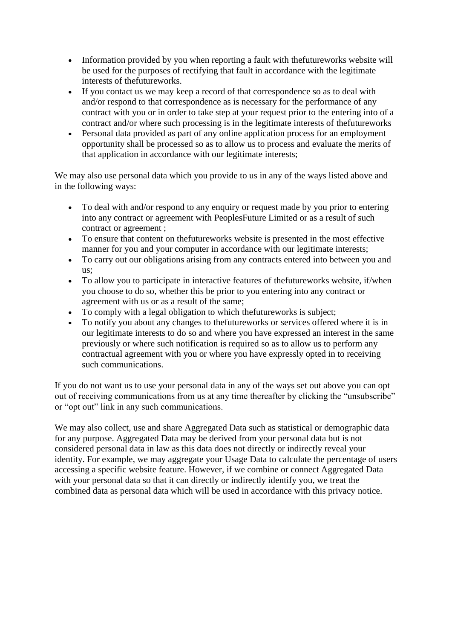- Information provided by you when reporting a fault with the futureworks website will be used for the purposes of rectifying that fault in accordance with the legitimate interests of thefutureworks.
- If you contact us we may keep a record of that correspondence so as to deal with and/or respond to that correspondence as is necessary for the performance of any contract with you or in order to take step at your request prior to the entering into of a contract and/or where such processing is in the legitimate interests of thefutureworks
- Personal data provided as part of any online application process for an employment opportunity shall be processed so as to allow us to process and evaluate the merits of that application in accordance with our legitimate interests;

We may also use personal data which you provide to us in any of the ways listed above and in the following ways:

- To deal with and/or respond to any enquiry or request made by you prior to entering into any contract or agreement with PeoplesFuture Limited or as a result of such contract or agreement ;
- To ensure that content on thefutureworks website is presented in the most effective manner for you and your computer in accordance with our legitimate interests;
- To carry out our obligations arising from any contracts entered into between you and us;
- To allow you to participate in interactive features of thefutureworks website, if/when you choose to do so, whether this be prior to you entering into any contract or agreement with us or as a result of the same;
- To comply with a legal obligation to which thefutureworks is subject;
- To notify you about any changes to thefutureworks or services offered where it is in our legitimate interests to do so and where you have expressed an interest in the same previously or where such notification is required so as to allow us to perform any contractual agreement with you or where you have expressly opted in to receiving such communications.

If you do not want us to use your personal data in any of the ways set out above you can opt out of receiving communications from us at any time thereafter by clicking the "unsubscribe" or "opt out" link in any such communications.

We may also collect, use and share Aggregated Data such as statistical or demographic data for any purpose. Aggregated Data may be derived from your personal data but is not considered personal data in law as this data does not directly or indirectly reveal your identity. For example, we may aggregate your Usage Data to calculate the percentage of users accessing a specific website feature. However, if we combine or connect Aggregated Data with your personal data so that it can directly or indirectly identify you, we treat the combined data as personal data which will be used in accordance with this privacy notice.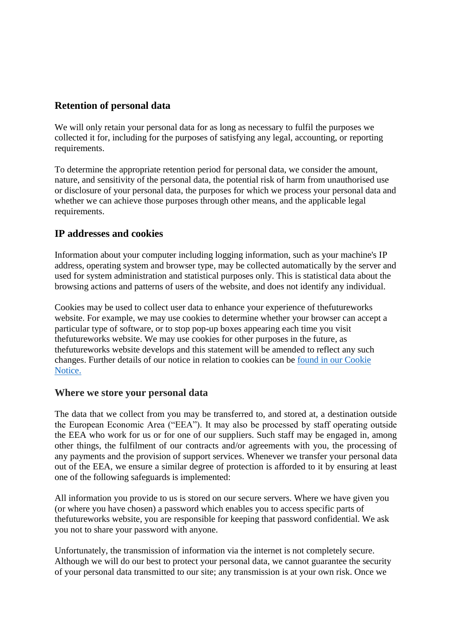## **Retention of personal data**

We will only retain your personal data for as long as necessary to fulfil the purposes we collected it for, including for the purposes of satisfying any legal, accounting, or reporting requirements.

To determine the appropriate retention period for personal data, we consider the amount, nature, and sensitivity of the personal data, the potential risk of harm from unauthorised use or disclosure of your personal data, the purposes for which we process your personal data and whether we can achieve those purposes through other means, and the applicable legal requirements.

# **IP addresses and cookies**

Information about your computer including logging information, such as your machine's IP address, operating system and browser type, may be collected automatically by the server and used for system administration and statistical purposes only. This is statistical data about the browsing actions and patterns of users of the website, and does not identify any individual.

Cookies may be used to collect user data to enhance your experience of thefutureworks website. For example, we may use cookies to determine whether your browser can accept a particular type of software, or to stop pop-up boxes appearing each time you visit thefutureworks website. We may use cookies for other purposes in the future, as thefutureworks website develops and this statement will be amended to reflect any such changes. Further details of our notice in relation to cookies can be [found in our Cookie](http://www.thefutureworks.org.uk/uploads/Cookie_Notice.pdf)  [Notice.](http://www.thefutureworks.org.uk/uploads/Cookie_Notice.pdf)

#### **Where we store your personal data**

The data that we collect from you may be transferred to, and stored at, a destination outside the European Economic Area ("EEA"). It may also be processed by staff operating outside the EEA who work for us or for one of our suppliers. Such staff may be engaged in, among other things, the fulfilment of our contracts and/or agreements with you, the processing of any payments and the provision of support services. Whenever we transfer your personal data out of the EEA, we ensure a similar degree of protection is afforded to it by ensuring at least one of the following safeguards is implemented:

All information you provide to us is stored on our secure servers. Where we have given you (or where you have chosen) a password which enables you to access specific parts of thefutureworks website, you are responsible for keeping that password confidential. We ask you not to share your password with anyone.

Unfortunately, the transmission of information via the internet is not completely secure. Although we will do our best to protect your personal data, we cannot guarantee the security of your personal data transmitted to our site; any transmission is at your own risk. Once we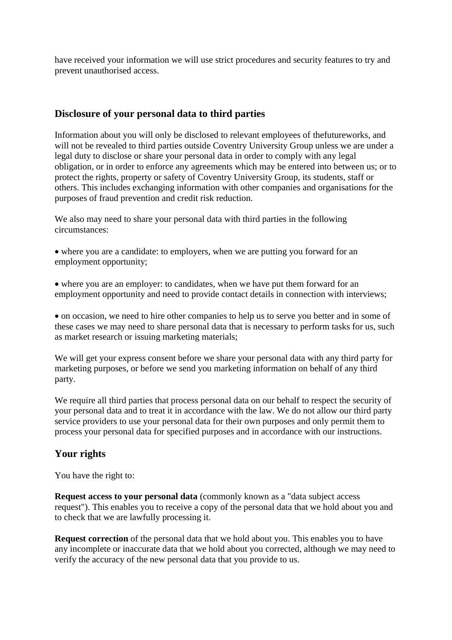have received your information we will use strict procedures and security features to try and prevent unauthorised access.

## **Disclosure of your personal data to third parties**

Information about you will only be disclosed to relevant employees of thefutureworks, and will not be revealed to third parties outside Coventry University Group unless we are under a legal duty to disclose or share your personal data in order to comply with any legal obligation, or in order to enforce any agreements which may be entered into between us; or to protect the rights, property or safety of Coventry University Group, its students, staff or others. This includes exchanging information with other companies and organisations for the purposes of fraud prevention and credit risk reduction.

We also may need to share your personal data with third parties in the following circumstances:

• where you are a candidate: to employers, when we are putting you forward for an employment opportunity;

 where you are an employer: to candidates, when we have put them forward for an employment opportunity and need to provide contact details in connection with interviews;

 on occasion, we need to hire other companies to help us to serve you better and in some of these cases we may need to share personal data that is necessary to perform tasks for us, such as market research or issuing marketing materials;

We will get your express consent before we share your personal data with any third party for marketing purposes, or before we send you marketing information on behalf of any third party.

We require all third parties that process personal data on our behalf to respect the security of your personal data and to treat it in accordance with the law. We do not allow our third party service providers to use your personal data for their own purposes and only permit them to process your personal data for specified purposes and in accordance with our instructions.

## **Your rights**

You have the right to:

**Request access to your personal data** (commonly known as a "data subject access request"). This enables you to receive a copy of the personal data that we hold about you and to check that we are lawfully processing it.

**Request correction** of the personal data that we hold about you. This enables you to have any incomplete or inaccurate data that we hold about you corrected, although we may need to verify the accuracy of the new personal data that you provide to us.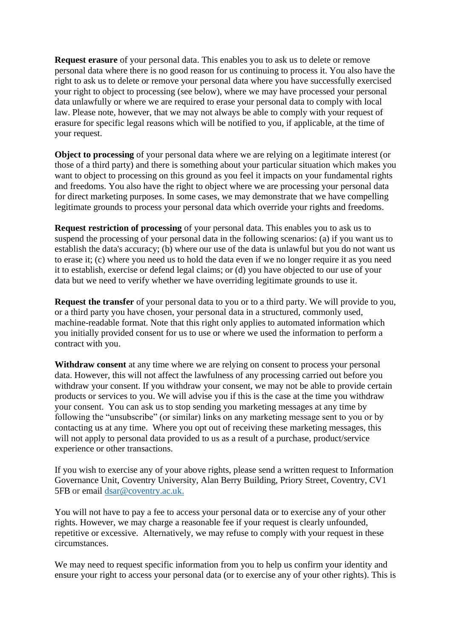**Request erasure** of your personal data. This enables you to ask us to delete or remove personal data where there is no good reason for us continuing to process it. You also have the right to ask us to delete or remove your personal data where you have successfully exercised your right to object to processing (see below), where we may have processed your personal data unlawfully or where we are required to erase your personal data to comply with local law. Please note, however, that we may not always be able to comply with your request of erasure for specific legal reasons which will be notified to you, if applicable, at the time of your request.

**Object to processing** of your personal data where we are relying on a legitimate interest (or those of a third party) and there is something about your particular situation which makes you want to object to processing on this ground as you feel it impacts on your fundamental rights and freedoms. You also have the right to object where we are processing your personal data for direct marketing purposes. In some cases, we may demonstrate that we have compelling legitimate grounds to process your personal data which override your rights and freedoms.

**Request restriction of processing** of your personal data. This enables you to ask us to suspend the processing of your personal data in the following scenarios: (a) if you want us to establish the data's accuracy; (b) where our use of the data is unlawful but you do not want us to erase it; (c) where you need us to hold the data even if we no longer require it as you need it to establish, exercise or defend legal claims; or (d) you have objected to our use of your data but we need to verify whether we have overriding legitimate grounds to use it.

**Request the transfer** of your personal data to you or to a third party. We will provide to you, or a third party you have chosen, your personal data in a structured, commonly used, machine-readable format. Note that this right only applies to automated information which you initially provided consent for us to use or where we used the information to perform a contract with you.

**Withdraw consent** at any time where we are relying on consent to process your personal data. However, this will not affect the lawfulness of any processing carried out before you withdraw your consent. If you withdraw your consent, we may not be able to provide certain products or services to you. We will advise you if this is the case at the time you withdraw your consent. You can ask us to stop sending you marketing messages at any time by following the "unsubscribe" (or similar) links on any marketing message sent to you or by contacting us at any time. Where you opt out of receiving these marketing messages, this will not apply to personal data provided to us as a result of a purchase, product/service experience or other transactions.

If you wish to exercise any of your above rights, please send a written request to Information Governance Unit, Coventry University, Alan Berry Building, Priory Street, Coventry, CV1 5FB or email [dsar@coventry.ac.uk.](mailto:dsar@coventry.ac.uk)

You will not have to pay a fee to access your personal data or to exercise any of your other rights. However, we may charge a reasonable fee if your request is clearly unfounded, repetitive or excessive. Alternatively, we may refuse to comply with your request in these circumstances.

We may need to request specific information from you to help us confirm your identity and ensure your right to access your personal data (or to exercise any of your other rights). This is